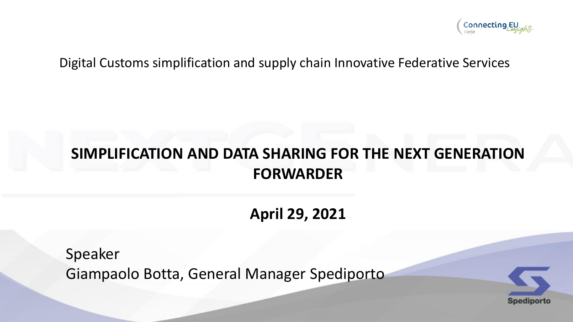

#### Digital Customs simplification and supply chain Innovative Federative Services

## **SIMPLIFICATION AND DATA SHARING FOR THE NEXT GENERATION FORWARDER**

**April 29, 2021**

Speaker Giampaolo Botta, General Manager Spediporto

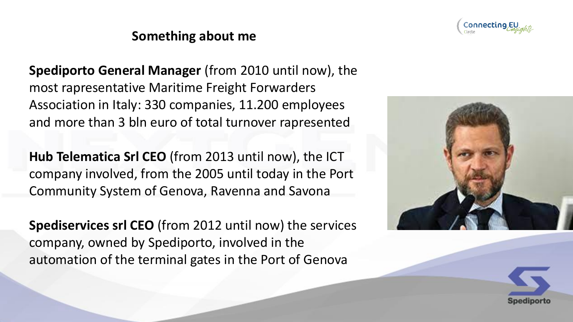## **Something about me**

**Spediporto General Manager** (from 2010 until now), the most rapresentative Maritime Freight Forwarders Association in Italy: 330 companies, 11.200 employees and more than 3 bln euro of total turnover rapresented

**Hub Telematica Srl CEO** (from 2013 until now), the ICT company involved, from the 2005 until today in the Port Community System of Genova, Ravenna and Savona

**Spediservices srl CEO** (from 2012 until now) the services company, owned by Spediporto, involved in the automation of the terminal gates in the Port of Genova





Spediporto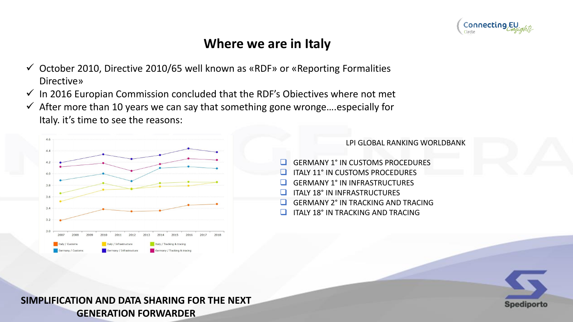

#### **Where we are in Italy**

- $\checkmark$  October 2010, Directive 2010/65 well known as «RDF» or «Reporting Formalities Directive»
- $\checkmark$  In 2016 Europian Commission concluded that the RDF's Obiectives where not met
- $\checkmark$  After more than 10 years we can say that something gone wronge....especially for Italy. it's time to see the reasons:







**SIMPLIFICATION AND DATA SHARING FOR THE NEXT GENERATION FORWARDER**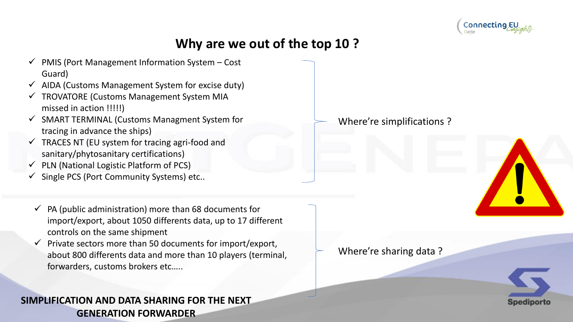

## **Why are we out of the top 10 ?**

- $\checkmark$  PMIS (Port Management Information System Cost Guard)
- $\checkmark$  AIDA (Customs Management System for excise duty)
- $\checkmark$  TROVATORE (Customs Management System MIA missed in action !!!!!)
- $\checkmark$  SMART TERMINAL (Customs Managment System for tracing in advance the ships)
- $\checkmark$  TRACES NT (EU system for tracing agri-food and sanitary/phytosanitary certifications)
- $\checkmark$  PLN (National Logistic Platform of PCS)
- $\checkmark$  Single PCS (Port Community Systems) etc..
- $\checkmark$  PA (public administration) more than 68 documents for import/export, about 1050 differents data, up to 17 different controls on the same shipment
- Private sectors more than 50 documents for import/export, about 800 differents data and more than 10 players (terminal, forwarders, customs brokers etc…..

**SIMPLIFICATION AND DATA SHARING FOR THE NEXT GENERATION FORWARDER**

#### Where're simplifications ?



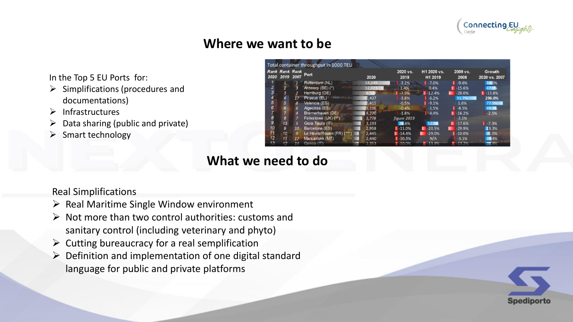

#### **Where we want to be**

In the Top 5 EU Ports for:

- $\triangleright$  Simplifications (procedures and documentations)
- ➢ Infrastructures
- $\triangleright$  Data sharing (public and private)
- ➢ Smart technology

|                | <b>Rank Rank Rank</b><br>2020 2019 2007 |    | Port                      | 2020         | 2020 vs.<br>2019 | H1 2020 vs.<br>H1 2019 | 2009 vs.<br>2008 | Growth<br>2020 vs. 2007 |
|----------------|-----------------------------------------|----|---------------------------|--------------|------------------|------------------------|------------------|-------------------------|
|                |                                         |    | Rotterdam (NL)            | 14,349       | $-3.2%$          | $-7.0%$                | $-9.6%$          | 33.0%                   |
| $\overline{a}$ |                                         |    | Antwerp (BE) (*)          | 12.023       | 1.4%             | 0.4%                   | $-15.6%$         | 47.0%                   |
| 3              | 3.                                      |    | Hamburg (DE)              | 8.527        | $-7.9%$          | $-12.4%$               | $-28.0%$         | $-13.8%$                |
| 4              |                                         | 17 | Piraeus (EL)              | Б.437        | $-3.8%$          | $-6.2%$                | 91.7%            | 296.0%                  |
| 5              | 5                                       | 8  | Valencia (ES)             | <b>5,415</b> | $-0.5%$          | $-9.1%$                | 1.6%             | 77.9%                   |
| 6              | 6                                       | 6  | Algeciras (ES)            | 5.106        | $-0.4%$          | $-1.5%$                | $-8.5%$          | 49.3%                   |
|                |                                         |    | Bremerhaven (DE)          | 4,770        | $-1.8%$          | $-4.4%$                | $-16.2%$         | $-2.5%$                 |
| 8              | 8                                       |    | Felixstowe $(UK)$ $($ **) | 3,778        | figure 2019      |                        | $-3.5%$          |                         |
| 9              | 13                                      | 5  | Gioia Tauro (IT)          | 3.193        | 20.6%            | 52.5%                  | $-17.6%$         | $-7.3%$                 |
| 10             | 9                                       | 10 | Barcelona (ES)            | 2,958        | $-11.0%$         | $-20.5%$               | $-29.9%$         | 13.3%                   |
| 11             | 10                                      | 9  | Le Havre/Rouen (FR) (***) | 2,445        | $-14.4%$         | $-29.0%$               | $-10.0%$         | 21.0%                   |
| 12             | 11                                      | 12 | Marsaxlokk (MT)           | 2,440        | $-10.3%$         | N/A                    | $-3.1%$          | 28.4%                   |
| 13             | 12                                      | 14 | Cenoa (IT)                | 2.353        | $-10.0$ %        | $-112.006$             | $-17.29$         | <b>ALL</b> DAY          |

### **What we need to do**

Real Simplifications

- ➢ Real Maritime Single Window environment
- $\triangleright$  Not more than two control authorities: customs and sanitary control (including veterinary and phyto)
- $\triangleright$  Cutting bureaucracy for a real semplification
- ➢ Definition and implementation of one digital standard language for public and private platforms

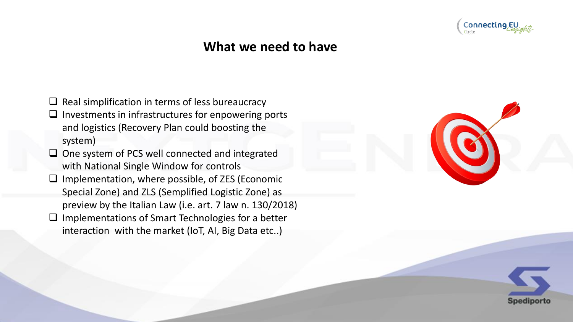#### **What we need to have**

- $\Box$  Real simplification in terms of less bureaucracy ❑ Investments in infrastructures for enpowering ports and logistics (Recovery Plan could boosting the system)
- ❑ One system of PCS well connected and integrated with National Single Window for controls
- ❑ Implementation, where possible, of ZES (Economic Special Zone) and ZLS (Semplified Logistic Zone) as preview by the Italian Law (i.e. art. 7 law n. 130/2018)
- ❑ Implementations of Smart Technologies for a better interaction with the market (IoT, AI, Big Data etc..)



Connecting, EU

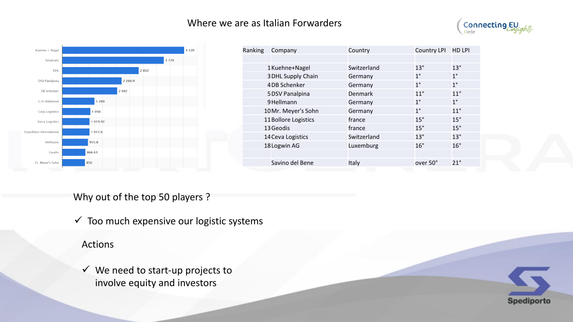#### Where we are as Italian Forwarders





| Ranking | Company                  | Country        | Country LPI HD LPI |              |
|---------|--------------------------|----------------|--------------------|--------------|
|         |                          |                |                    |              |
|         | 1Kuehne+Nagel            | Switzerland    | $13^\circ$         | $13^\circ$   |
|         | <b>3DHL Supply Chain</b> | Germany        | $1^{\circ}$        | $1^{\circ}$  |
|         | 4DB Schenker             | Germany        | $1^{\circ}$        | $1^{\circ}$  |
|         | 5 DSV Panalpina          | <b>Denmark</b> | $11^{\circ}$       | $11^{\circ}$ |
|         | 9 Hellmann               | Germany        | $1^{\circ}$        | $1^{\circ}$  |
|         | 10 Mr. Meyer's Sohn      | Germany        | $1^{\circ}$        | $11^{\circ}$ |
|         | 11 Bollore Logistics     | france         | $15^\circ$         | $15^\circ$   |
|         | 13 Geodis                | france         | $15^\circ$         | $15^\circ$   |
|         | 14 Ceva Logistics        | Switzerland    | $13^\circ$         | $13^\circ$   |
|         | 18 Logwin AG             | Luxemburg      | $16^{\circ}$       | $16^\circ$   |
|         |                          |                |                    |              |
|         | Savino del Bene          | Italy          | over 50°           | $21^\circ$   |
|         |                          |                |                    |              |

Why out of the top 50 players ?

 $\checkmark$  Too much expensive our logistic systems

Actions

 $\checkmark$  We need to start-up projects to involve equity and investors

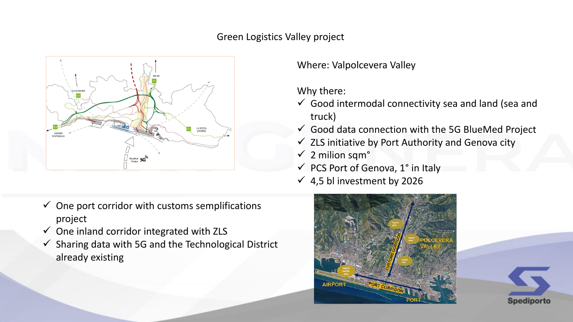#### Green Logistics Valley project



- $\checkmark$  One port corridor with customs semplifications project
- $\checkmark$  One inland corridor integrated with ZLS
- $\checkmark$  Sharing data with 5G and the Technological District already existing

Where: Valpolcevera Valley

Why there:

- $\checkmark$  Good intermodal connectivity sea and land (sea and truck)
- $\checkmark$  Good data connection with the 5G BlueMed Project
- $\checkmark$  ZLS initiative by Port Authority and Genova city
- $\checkmark$  2 milion sqm<sup>o</sup>
- $\checkmark$  PCS Port of Genova, 1° in Italy
- $\checkmark$  4,5 bl investment by 2026